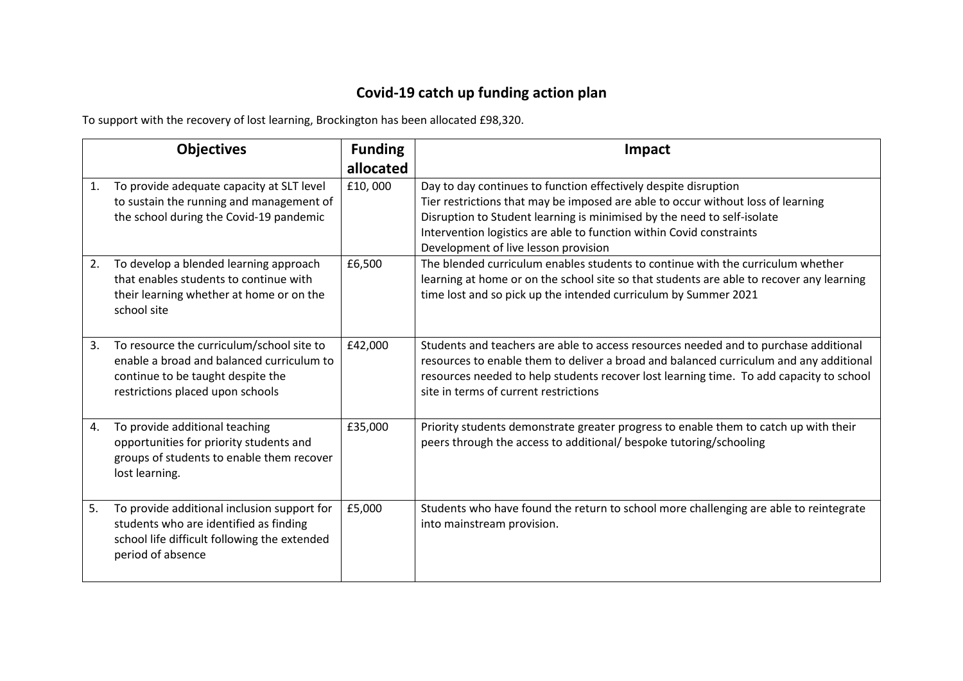## **Covid-19 catch up funding action plan**

To support with the recovery of lost learning, Brockington has been allocated £98,320.

|    | <b>Objectives</b>                                                                                                                                               | <b>Funding</b> | Impact                                                                                                                                                                                                                                                                                                                                         |
|----|-----------------------------------------------------------------------------------------------------------------------------------------------------------------|----------------|------------------------------------------------------------------------------------------------------------------------------------------------------------------------------------------------------------------------------------------------------------------------------------------------------------------------------------------------|
|    |                                                                                                                                                                 | allocated      |                                                                                                                                                                                                                                                                                                                                                |
| 1. | To provide adequate capacity at SLT level<br>to sustain the running and management of<br>the school during the Covid-19 pandemic                                | £10,000        | Day to day continues to function effectively despite disruption<br>Tier restrictions that may be imposed are able to occur without loss of learning<br>Disruption to Student learning is minimised by the need to self-isolate<br>Intervention logistics are able to function within Covid constraints<br>Development of live lesson provision |
| 2. | To develop a blended learning approach<br>that enables students to continue with<br>their learning whether at home or on the<br>school site                     | £6,500         | The blended curriculum enables students to continue with the curriculum whether<br>learning at home or on the school site so that students are able to recover any learning<br>time lost and so pick up the intended curriculum by Summer 2021                                                                                                 |
| 3. | To resource the curriculum/school site to<br>enable a broad and balanced curriculum to<br>continue to be taught despite the<br>restrictions placed upon schools | £42,000        | Students and teachers are able to access resources needed and to purchase additional<br>resources to enable them to deliver a broad and balanced curriculum and any additional<br>resources needed to help students recover lost learning time. To add capacity to school<br>site in terms of current restrictions                             |
| 4. | To provide additional teaching<br>opportunities for priority students and<br>groups of students to enable them recover<br>lost learning.                        | £35,000        | Priority students demonstrate greater progress to enable them to catch up with their<br>peers through the access to additional/ bespoke tutoring/schooling                                                                                                                                                                                     |
| 5. | To provide additional inclusion support for<br>students who are identified as finding<br>school life difficult following the extended<br>period of absence      | £5,000         | Students who have found the return to school more challenging are able to reintegrate<br>into mainstream provision.                                                                                                                                                                                                                            |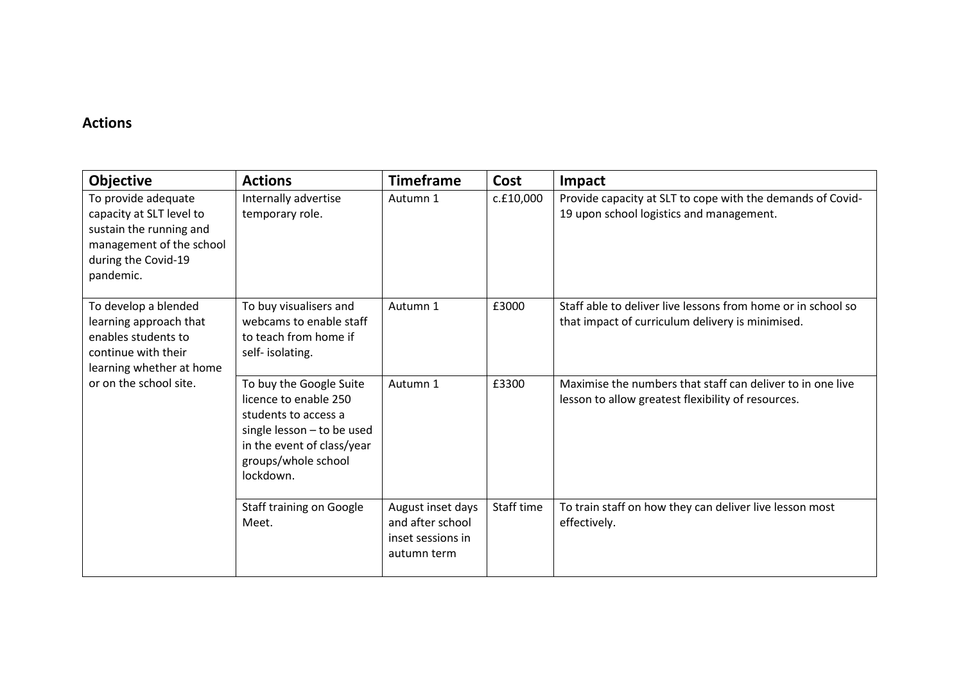## **Actions**

| <b>Objective</b>                                                                                                                           | <b>Actions</b>                                                                                                                                                           | <b>Timeframe</b>                                                          | <b>Cost</b> | Impact                                                                                                           |
|--------------------------------------------------------------------------------------------------------------------------------------------|--------------------------------------------------------------------------------------------------------------------------------------------------------------------------|---------------------------------------------------------------------------|-------------|------------------------------------------------------------------------------------------------------------------|
| To provide adequate<br>capacity at SLT level to<br>sustain the running and<br>management of the school<br>during the Covid-19<br>pandemic. | Internally advertise<br>temporary role.                                                                                                                                  | Autumn 1                                                                  | c.£10,000   | Provide capacity at SLT to cope with the demands of Covid-<br>19 upon school logistics and management.           |
| To develop a blended<br>learning approach that<br>enables students to<br>continue with their<br>learning whether at home                   | To buy visualisers and<br>webcams to enable staff<br>to teach from home if<br>self-isolating.                                                                            | Autumn 1                                                                  | £3000       | Staff able to deliver live lessons from home or in school so<br>that impact of curriculum delivery is minimised. |
| or on the school site.                                                                                                                     | To buy the Google Suite<br>licence to enable 250<br>students to access a<br>single lesson - to be used<br>in the event of class/year<br>groups/whole school<br>lockdown. | Autumn 1                                                                  | £3300       | Maximise the numbers that staff can deliver to in one live<br>lesson to allow greatest flexibility of resources. |
|                                                                                                                                            | Staff training on Google<br>Meet.                                                                                                                                        | August inset days<br>and after school<br>inset sessions in<br>autumn term | Staff time  | To train staff on how they can deliver live lesson most<br>effectively.                                          |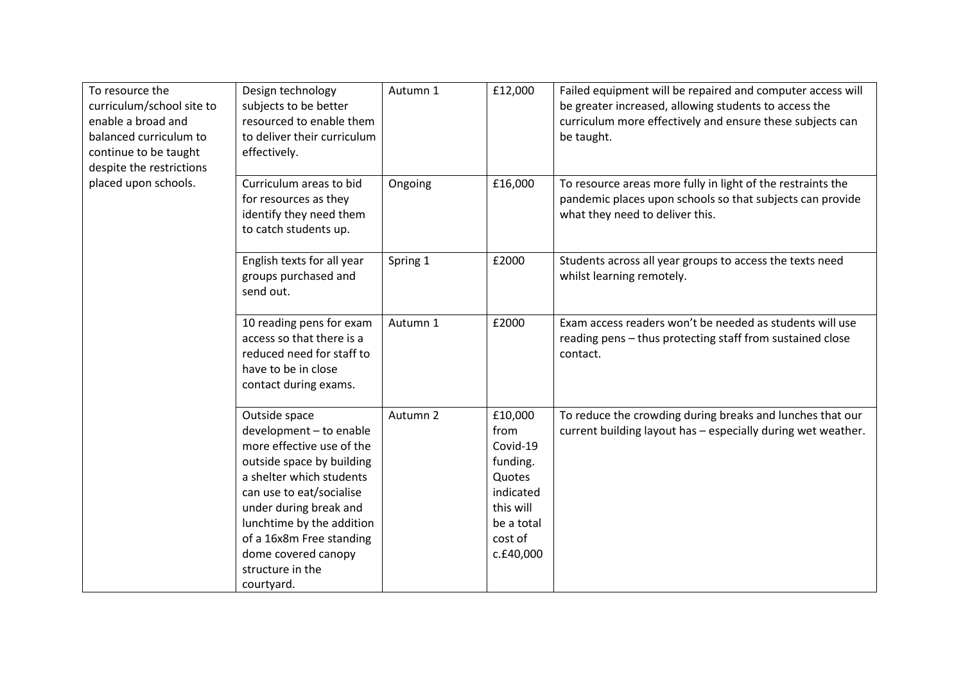| To resource the<br>curriculum/school site to<br>enable a broad and<br>balanced curriculum to<br>continue to be taught<br>despite the restrictions | Design technology<br>subjects to be better<br>resourced to enable them<br>to deliver their curriculum<br>effectively.                                                                                                                                                                                  | Autumn 1 | £12,000                                                                                                           | Failed equipment will be repaired and computer access will<br>be greater increased, allowing students to access the<br>curriculum more effectively and ensure these subjects can<br>be taught. |
|---------------------------------------------------------------------------------------------------------------------------------------------------|--------------------------------------------------------------------------------------------------------------------------------------------------------------------------------------------------------------------------------------------------------------------------------------------------------|----------|-------------------------------------------------------------------------------------------------------------------|------------------------------------------------------------------------------------------------------------------------------------------------------------------------------------------------|
| placed upon schools.                                                                                                                              | Curriculum areas to bid<br>for resources as they<br>identify they need them<br>to catch students up.                                                                                                                                                                                                   | Ongoing  | £16,000                                                                                                           | To resource areas more fully in light of the restraints the<br>pandemic places upon schools so that subjects can provide<br>what they need to deliver this.                                    |
|                                                                                                                                                   | English texts for all year<br>groups purchased and<br>send out.                                                                                                                                                                                                                                        | Spring 1 | £2000                                                                                                             | Students across all year groups to access the texts need<br>whilst learning remotely.                                                                                                          |
|                                                                                                                                                   | 10 reading pens for exam<br>access so that there is a<br>reduced need for staff to<br>have to be in close<br>contact during exams.                                                                                                                                                                     | Autumn 1 | £2000                                                                                                             | Exam access readers won't be needed as students will use<br>reading pens - thus protecting staff from sustained close<br>contact.                                                              |
|                                                                                                                                                   | Outside space<br>development - to enable<br>more effective use of the<br>outside space by building<br>a shelter which students<br>can use to eat/socialise<br>under during break and<br>lunchtime by the addition<br>of a 16x8m Free standing<br>dome covered canopy<br>structure in the<br>courtyard. | Autumn 2 | £10,000<br>from<br>Covid-19<br>funding.<br>Quotes<br>indicated<br>this will<br>be a total<br>cost of<br>c.£40,000 | To reduce the crowding during breaks and lunches that our<br>current building layout has - especially during wet weather.                                                                      |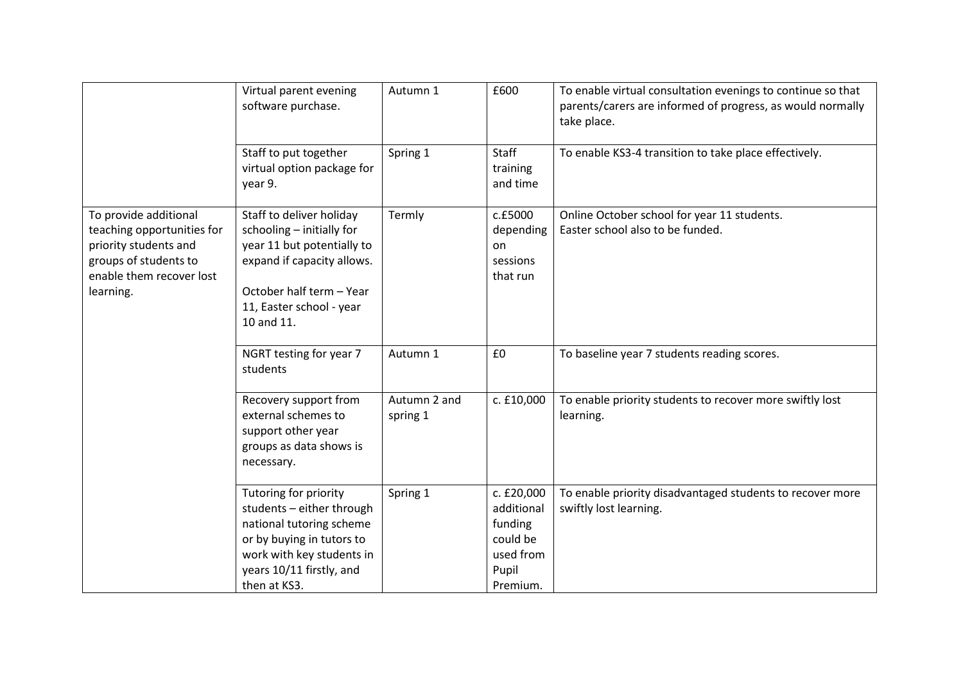|                                                                                                                                                | Virtual parent evening<br>software purchase.                                                                                                                                            | Autumn 1                 | £600                                                                              | To enable virtual consultation evenings to continue so that<br>parents/carers are informed of progress, as would normally<br>take place. |
|------------------------------------------------------------------------------------------------------------------------------------------------|-----------------------------------------------------------------------------------------------------------------------------------------------------------------------------------------|--------------------------|-----------------------------------------------------------------------------------|------------------------------------------------------------------------------------------------------------------------------------------|
|                                                                                                                                                | Staff to put together<br>virtual option package for<br>year 9.                                                                                                                          | Spring 1                 | Staff<br>training<br>and time                                                     | To enable KS3-4 transition to take place effectively.                                                                                    |
| To provide additional<br>teaching opportunities for<br>priority students and<br>groups of students to<br>enable them recover lost<br>learning. | Staff to deliver holiday<br>schooling - initially for<br>year 11 but potentially to<br>expand if capacity allows.<br>October half term - Year<br>11, Easter school - year<br>10 and 11. | Termly                   | c.£5000<br>depending<br>on<br>sessions<br>that run                                | Online October school for year 11 students.<br>Easter school also to be funded.                                                          |
|                                                                                                                                                | NGRT testing for year 7<br>students                                                                                                                                                     | Autumn 1                 | £0                                                                                | To baseline year 7 students reading scores.                                                                                              |
|                                                                                                                                                | Recovery support from<br>external schemes to<br>support other year<br>groups as data shows is<br>necessary.                                                                             | Autumn 2 and<br>spring 1 | c. £10,000                                                                        | To enable priority students to recover more swiftly lost<br>learning.                                                                    |
|                                                                                                                                                | Tutoring for priority<br>students - either through<br>national tutoring scheme<br>or by buying in tutors to<br>work with key students in<br>years 10/11 firstly, and<br>then at KS3.    | Spring 1                 | c. £20,000<br>additional<br>funding<br>could be<br>used from<br>Pupil<br>Premium. | To enable priority disadvantaged students to recover more<br>swiftly lost learning.                                                      |